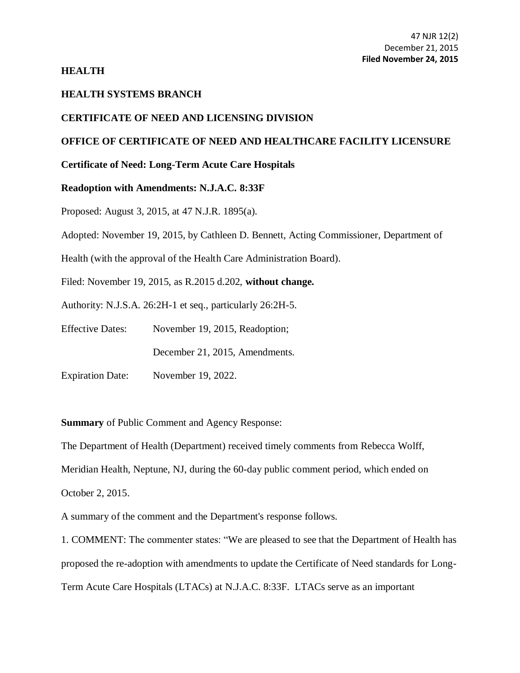### **HEALTH**

# **HEALTH SYSTEMS BRANCH**

### **CERTIFICATE OF NEED AND LICENSING DIVISION**

# **OFFICE OF CERTIFICATE OF NEED AND HEALTHCARE FACILITY LICENSURE**

# **Certificate of Need: Long-Term Acute Care Hospitals**

#### **Readoption with Amendments: N.J.A.C. 8:33F**

Proposed: August 3, 2015, at [47 N.J.R. 1895\(a\).](https://web.lexisnexis.com/research/buttonTFLink?_m=7f839a864e627bdeb65131183d99d57b&_xfercite=%3ccite%20cc%3d%22USA%22%3e%3c%21%5bCDATA%5b47%20N.J.R.%202063%28a%29%5d%5d%3e%3c%2fcite%3e&_butType=4&_butStat=0&_butNum=4&_butInline=1&_butinfo=47%20NJR%20319A&_fmtstr=FULL&docnum=2&_startdoc=1&wchp=dGLbVzt-zSkAA&_md5=561254c41536988060c209276c5d7519)

Adopted: November 19, 2015, by Cathleen D. Bennett, Acting Commissioner, Department of

Health (with the approval of the Health Care Administration Board).

Filed: November 19, 2015, as R.2015 d.202, **without change.**

Authority: [N.J.S.A. 26:2H-1](https://web.lexisnexis.com/research/buttonTFLink?_m=7f839a864e627bdeb65131183d99d57b&_xfercite=%3ccite%20cc%3d%22USA%22%3e%3c%21%5bCDATA%5b47%20N.J.R.%202063%28a%29%5d%5d%3e%3c%2fcite%3e&_butType=4&_butStat=0&_butNum=6&_butInline=1&_butinfo=NJCODE%2026%3a2H-1&_fmtstr=FULL&docnum=2&_startdoc=1&wchp=dGLbVzt-zSkAA&_md5=e719b5d7b084245c401e2da980a12163) et seq., particularly 26:2H-5.

Effective Dates: November 19, 2015, Readoption;

December 21, 2015, Amendments.

Expiration Date: November 19, 2022.

**Summary** of Public Comment and Agency Response:

The Department of Health (Department) received timely comments from Rebecca Wolff, Meridian Health, Neptune, NJ, during the 60-day public comment period, which ended on October 2, 2015.

A summary of the comment and the Department's response follows.

1. COMMENT: The commenter states: "We are pleased to see that the Department of Health has proposed the re-adoption with amendments to update the Certificate of Need standards for Long-Term Acute Care Hospitals (LTACs) at N.J.A.C. 8:33F. LTACs serve as an important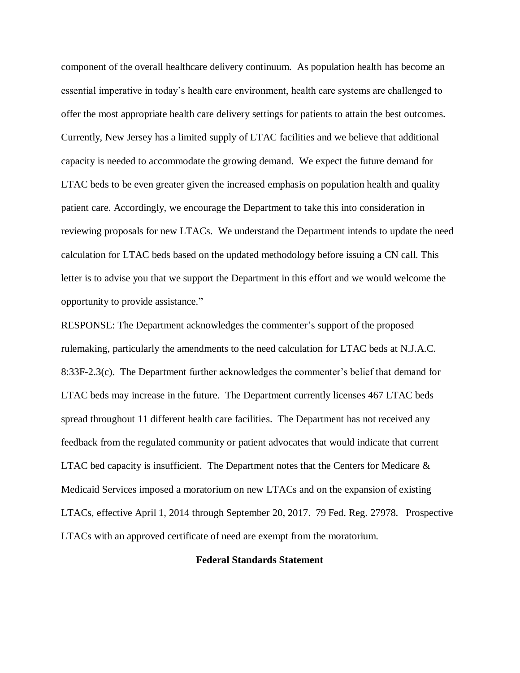component of the overall healthcare delivery continuum. As population health has become an essential imperative in today's health care environment, health care systems are challenged to offer the most appropriate health care delivery settings for patients to attain the best outcomes. Currently, New Jersey has a limited supply of LTAC facilities and we believe that additional capacity is needed to accommodate the growing demand. We expect the future demand for LTAC beds to be even greater given the increased emphasis on population health and quality patient care. Accordingly, we encourage the Department to take this into consideration in reviewing proposals for new LTACs. We understand the Department intends to update the need calculation for LTAC beds based on the updated methodology before issuing a CN call. This letter is to advise you that we support the Department in this effort and we would welcome the opportunity to provide assistance."

RESPONSE: The Department acknowledges the commenter's support of the proposed rulemaking, particularly the amendments to the need calculation for LTAC beds at N.J.A.C. 8:33F-2.3(c). The Department further acknowledges the commenter's belief that demand for LTAC beds may increase in the future. The Department currently licenses 467 LTAC beds spread throughout 11 different health care facilities. The Department has not received any feedback from the regulated community or patient advocates that would indicate that current LTAC bed capacity is insufficient. The Department notes that the Centers for Medicare  $\&$ Medicaid Services imposed a moratorium on new LTACs and on the expansion of existing LTACs, effective April 1, 2014 through September 20, 2017. 79 Fed. Reg. 27978. Prospective LTACs with an approved certificate of need are exempt from the moratorium.

#### **Federal Standards Statement**